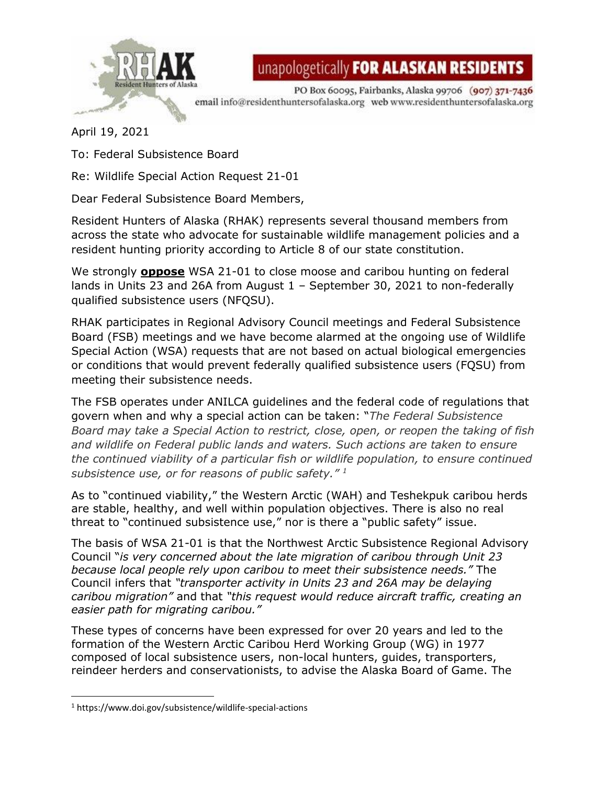

unapologetically FOR ALASKAN RESIDENTS

PO Box 60095, Fairbanks, Alaska 99706 (907) 371-7436 email info@residenthuntersofalaska.org web www.residenthuntersofalaska.org

April 19, 2021

To: Federal Subsistence Board

Re: Wildlife Special Action Request 21-01

Dear Federal Subsistence Board Members,

Resident Hunters of Alaska (RHAK) represents several thousand members from across the state who advocate for sustainable wildlife management policies and a resident hunting priority according to Article 8 of our state constitution.

We strongly **oppose** WSA 21-01 to close moose and caribou hunting on federal lands in Units 23 and 26A from August 1 – September 30, 2021 to non-federally qualified subsistence users (NFQSU).

RHAK participates in Regional Advisory Council meetings and Federal Subsistence Board (FSB) meetings and we have become alarmed at the ongoing use of Wildlife Special Action (WSA) requests that are not based on actual biological emergencies or conditions that would prevent federally qualified subsistence users (FQSU) from meeting their subsistence needs.

The FSB operates under ANILCA guidelines and the federal code of regulations that govern when and why a special action can be taken: "*The Federal Subsistence Board may take a Special Action to restrict, close, open, or reopen the taking of fish and wildlife on Federal public lands and waters. Such actions are taken to ensure the continued viability of a particular fish or wildlife population, to ensure continued subsistence use, or for reasons of public safety." 1*

As to "continued viability," the Western Arctic (WAH) and Teshekpuk caribou herds are stable, healthy, and well within population objectives. There is also no real threat to "continued subsistence use," nor is there a "public safety" issue.

The basis of WSA 21-01 is that the Northwest Arctic Subsistence Regional Advisory Council "*is very concerned about the late migration of caribou through Unit 23 because local people rely upon caribou to meet their subsistence needs."* The Council infers that *"transporter activity in Units 23 and 26A may be delaying caribou migration"* and that *"this request would reduce aircraft traffic, creating an easier path for migrating caribou."*

These types of concerns have been expressed for over 20 years and led to the formation of the Western Arctic Caribou Herd Working Group (WG) in 1977 composed of local subsistence users, non-local hunters, guides, transporters, reindeer herders and conservationists, to advise the Alaska Board of Game. The

<sup>1</sup> https://www.doi.gov/subsistence/wildlife-special-actions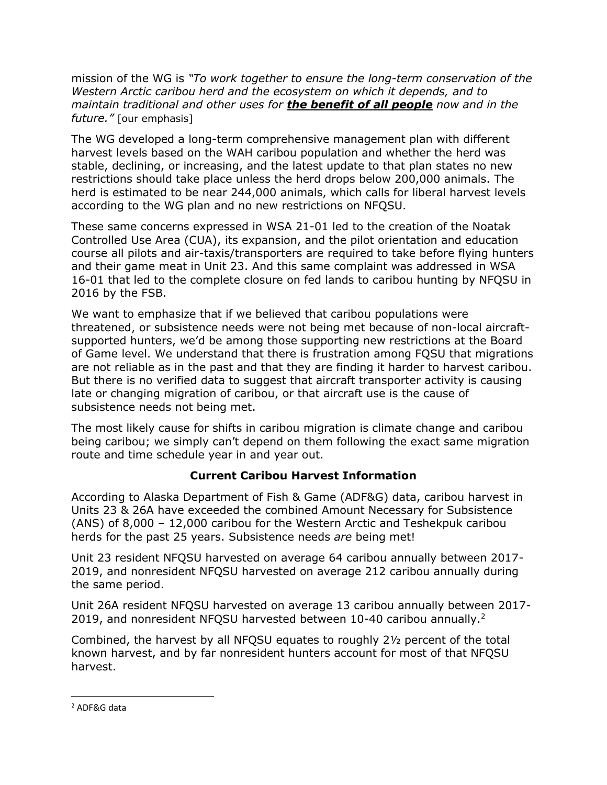mission of the WG is *"To work together to ensure the long-term conservation of the Western Arctic caribou herd and the ecosystem on which it depends, and to maintain traditional and other uses for the benefit of all people now and in the future."* [our emphasis]

The WG developed a long-term comprehensive management plan with different harvest levels based on the WAH caribou population and whether the herd was stable, declining, or increasing, and the latest update to that plan states no new restrictions should take place unless the herd drops below 200,000 animals. The herd is estimated to be near 244,000 animals, which calls for liberal harvest levels according to the WG plan and no new restrictions on NFQSU.

These same concerns expressed in WSA 21-01 led to the creation of the Noatak Controlled Use Area (CUA), its expansion, and the pilot orientation and education course all pilots and air-taxis/transporters are required to take before flying hunters and their game meat in Unit 23. And this same complaint was addressed in WSA 16-01 that led to the complete closure on fed lands to caribou hunting by NFQSU in 2016 by the FSB.

We want to emphasize that if we believed that caribou populations were threatened, or subsistence needs were not being met because of non-local aircraftsupported hunters, we'd be among those supporting new restrictions at the Board of Game level. We understand that there is frustration among FQSU that migrations are not reliable as in the past and that they are finding it harder to harvest caribou. But there is no verified data to suggest that aircraft transporter activity is causing late or changing migration of caribou, or that aircraft use is the cause of subsistence needs not being met.

The most likely cause for shifts in caribou migration is climate change and caribou being caribou; we simply can't depend on them following the exact same migration route and time schedule year in and year out.

## **Current Caribou Harvest Information**

According to Alaska Department of Fish & Game (ADF&G) data, caribou harvest in Units 23 & 26A have exceeded the combined Amount Necessary for Subsistence (ANS) of 8,000 – 12,000 caribou for the Western Arctic and Teshekpuk caribou herds for the past 25 years. Subsistence needs *are* being met!

Unit 23 resident NFQSU harvested on average 64 caribou annually between 2017- 2019, and nonresident NFQSU harvested on average 212 caribou annually during the same period.

Unit 26A resident NFQSU harvested on average 13 caribou annually between 2017- 2019, and nonresident NFQSU harvested between 10-40 caribou annually.<sup>2</sup>

Combined, the harvest by all NFQSU equates to roughly 2½ percent of the total known harvest, and by far nonresident hunters account for most of that NFQSU harvest.

<sup>2</sup> ADF&G data